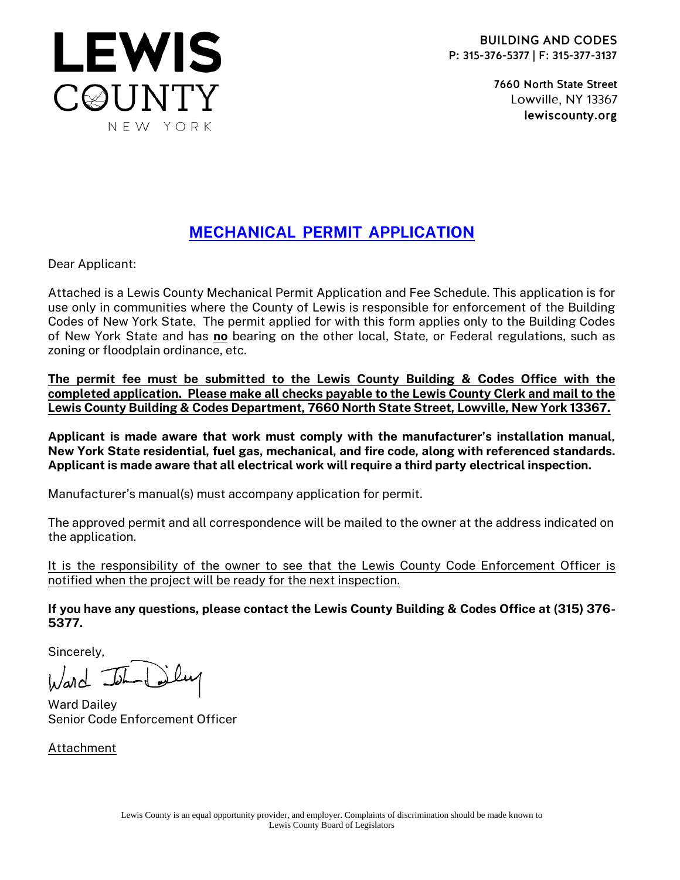

7660 North State Street Lowville, NY 13367 lewiscounty.org

# MECHANICAL PERMIT APPLICATION

Dear Applicant:

Attached is a Lewis County Mechanical Permit Application and Fee Schedule. This application is for use only in communities where the County of Lewis is responsible for enforcement of the Building Codes of New York State. The permit applied for with this form applies only to the Building Codes of New York State and has no bearing on the other local, State, or Federal regulations, such as zoning or floodplain ordinance, etc.

The permit fee must be submitted to the Lewis County Building & Codes Office with the completed application. Please make all checks payable to the Lewis County Clerk and mail to the Lewis County Building & Codes Department, 7660 North State Street, Lowville, New York 13367.

Applicant is made aware that work must comply with the manufacturer's installation manual, New York State residential, fuel gas, mechanical, and fire code, along with referenced standards. Applicant is made aware that all electrical work will require a third party electrical inspection.

Manufacturer's manual(s) must accompany application for permit.

The approved permit and all correspondence will be mailed to the owner at the address indicated on the application.

It is the responsibility of the owner to see that the Lewis County Code Enforcement Officer is notified when the project will be ready for the next inspection.

If you have any questions, please contact the Lewis County Building & Codes Office at (315) 376- 5377.

Sincerely,

 $M_{\odot}$ 

Ward Dailey Senior Code Enforcement Officer

Attachment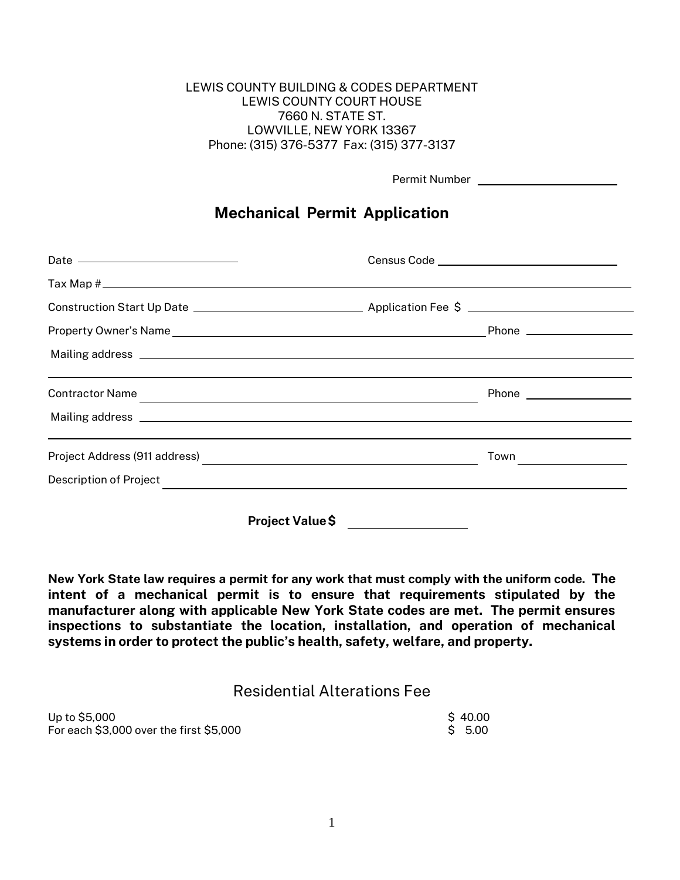### LEWIS COUNTY BUILDING & CODES DEPARTMENT LEWIS COUNTY COURT HOUSE 7660 N. STATE ST. LOWVILLE, NEW YORK 13367 Phone: (315) 376-5377 Fax: (315) 377-3137

| Permit Number |  |
|---------------|--|
|---------------|--|

## Mechanical Permit Application

| Date ——————————————     |  |
|-------------------------|--|
|                         |  |
|                         |  |
|                         |  |
|                         |  |
|                         |  |
|                         |  |
|                         |  |
| Description of Project  |  |
| <b>Project Value \$</b> |  |

New York State law requires a permit for any work that must comply with the uniform code. The intent of a mechanical permit is to ensure that requirements stipulated by the manufacturer along with applicable New York State codes are met. The permit ensures inspections to substantiate the location, installation, and operation of mechanical systems in order to protect the public's health, safety, welfare, and property.

### Residential Alterations Fee

| Up to \$5,000                           | \$40.00 |
|-----------------------------------------|---------|
| For each \$3,000 over the first \$5,000 | \$ 5.00 |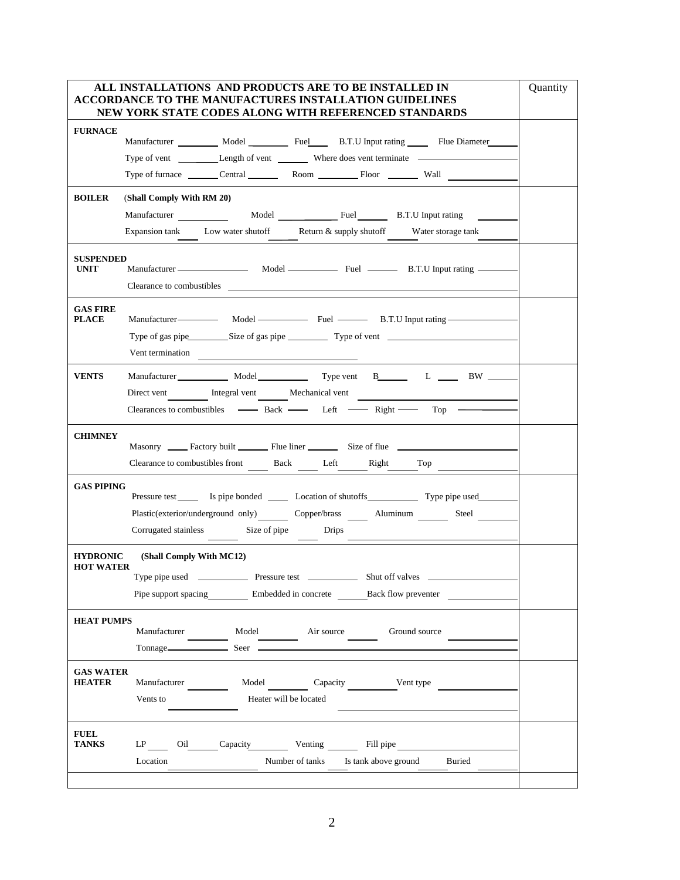|                                     | ALL INSTALLATIONS AND PRODUCTS ARE TO BE INSTALLED IN<br>ACCORDANCE TO THE MANUFACTURES INSTALLATION GUIDELINES                                      |  |
|-------------------------------------|------------------------------------------------------------------------------------------------------------------------------------------------------|--|
|                                     | NEW YORK STATE CODES ALONG WITH REFERENCED STANDARDS                                                                                                 |  |
| <b>FURNACE</b>                      | Manufacturer ___________ Model ____________ Fuel _______ B.T.U Input rating _______ Flue Diameter                                                    |  |
| <b>BOILER</b>                       | (Shall Comply With RM 20)                                                                                                                            |  |
|                                     | Expansion tank Low water shutoff Return & supply shutoff Water storage tank                                                                          |  |
| <b>SUSPENDED</b><br><b>UNIT</b>     | Manufacturer Model Fuel B.T.U Input rating                                                                                                           |  |
| <b>GAS FIRE</b><br><b>PLACE</b>     | Manufacturer-<br>Model Fuel B.T.U Input rating-<br>Type of gas pipe Size of gas pipe Type of vent<br>Vent termination                                |  |
| <b>VENTS</b>                        | Manufacturer Model Model Type vent B L N BW<br>Direct vent Integral vent Mechanical vent<br>Clearances to combustibles — Back — Left — Right — Top — |  |
| <b>CHIMNEY</b>                      | Clearance to combustibles front _________ Back _________ Left _________Right ________ Top _______                                                    |  |
| <b>GAS PIPING</b>                   | Plastic(exterior/underground only) Copper/brass _ Aluminum _ Steel<br>Corrugated stainless Size of pipe Drips                                        |  |
| <b>HYDRONIC</b><br><b>HOT WATER</b> | (Shall Comply With MC12)<br>Shut off valves<br>Pipe support spacing Embedded in concrete Back flow preventer                                         |  |
| <b>HEAT PUMPS</b>                   | Manufacturer Model Model Air source Ground source<br>Tonnage <sub></sub> Seer                                                                        |  |
| <b>GAS WATER</b><br><b>HEATER</b>   | Model Capacity Vent type<br>Manufacturer<br>Heater will be located<br>Vents to                                                                       |  |
| <b>FUEL</b><br>TANKS                | LP Oil Capacity Venting Fill pipe<br>Location<br>Number of tanks Is tank above ground<br>Buried                                                      |  |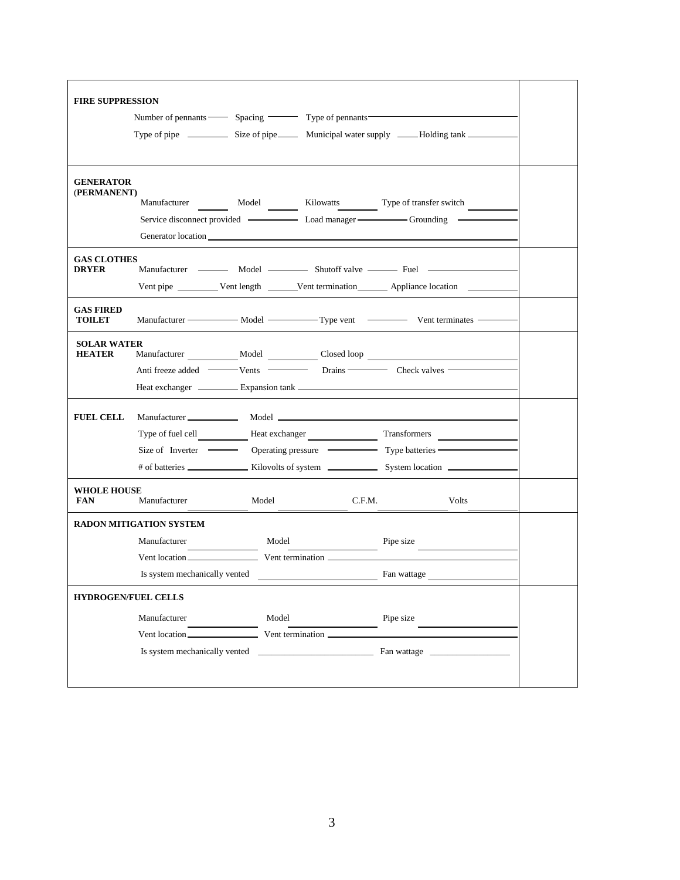| <b>FIRE SUPPRESSION</b>             |                                             |       |                                                                                                                                                                                                                                                                                             |  |
|-------------------------------------|---------------------------------------------|-------|---------------------------------------------------------------------------------------------------------------------------------------------------------------------------------------------------------------------------------------------------------------------------------------------|--|
|                                     | Number of pennants Spacing Type of pennants |       |                                                                                                                                                                                                                                                                                             |  |
|                                     |                                             |       |                                                                                                                                                                                                                                                                                             |  |
|                                     |                                             |       |                                                                                                                                                                                                                                                                                             |  |
| <b>GENERATOR</b><br>(PERMANENT)     |                                             |       |                                                                                                                                                                                                                                                                                             |  |
|                                     | Manufacturer                                |       | Model Kilowatts Type of transfer switch                                                                                                                                                                                                                                                     |  |
|                                     |                                             |       | Service disconnect provided ————————————————————————Grounding —————                                                                                                                                                                                                                         |  |
|                                     |                                             |       |                                                                                                                                                                                                                                                                                             |  |
| <b>GAS CLOTHES</b><br><b>DRYER</b>  |                                             |       |                                                                                                                                                                                                                                                                                             |  |
|                                     |                                             |       | Vent pipe ___________ Vent length ________ Vent termination ________ Appliance location _______                                                                                                                                                                                             |  |
| <b>GAS FIRED</b><br><b>TOILET</b>   |                                             |       |                                                                                                                                                                                                                                                                                             |  |
| <b>SOLAR WATER</b><br><b>HEATER</b> |                                             |       | Manufacturer _____________ Model ____________ Closed loop _______________________                                                                                                                                                                                                           |  |
|                                     |                                             |       |                                                                                                                                                                                                                                                                                             |  |
|                                     |                                             |       | Heat exchanger <u>expansion</u> Expansion tank <b>expansion</b> tank <b>expansion</b> tank <b>expansion</b> tank <b>expansion</b> tank <b>expansion</b> tank <b>expansion</b> tank <b>expansion</b> tank <b>expansion</b> tank <b>expansion</b> tank <b>expansion</b> tank <b>expansion</b> |  |
| <b>FUEL CELL</b>                    |                                             |       |                                                                                                                                                                                                                                                                                             |  |
|                                     |                                             |       | Type of fuel cell <b>Selection</b> Heat exchanger <b>Example 1</b> Transformers                                                                                                                                                                                                             |  |
|                                     |                                             |       |                                                                                                                                                                                                                                                                                             |  |
|                                     |                                             |       |                                                                                                                                                                                                                                                                                             |  |
| <b>WHOLE HOUSE</b><br><b>FAN</b>    | Manufacturer                                | Model | C.F.M.<br>Volts                                                                                                                                                                                                                                                                             |  |
|                                     | <b>RADON MITIGATION SYSTEM</b>              |       |                                                                                                                                                                                                                                                                                             |  |
|                                     | Manufacturer                                | Model | Pipe size                                                                                                                                                                                                                                                                                   |  |
|                                     |                                             |       |                                                                                                                                                                                                                                                                                             |  |
|                                     | Is system mechanically vented               |       | Fan wattage                                                                                                                                                                                                                                                                                 |  |
| <b>HYDROGEN/FUEL CELLS</b>          |                                             |       |                                                                                                                                                                                                                                                                                             |  |
|                                     | Manufacturer                                | Model | Pipe size                                                                                                                                                                                                                                                                                   |  |
|                                     |                                             |       |                                                                                                                                                                                                                                                                                             |  |
|                                     |                                             |       | Is system mechanically vented Fan wattage                                                                                                                                                                                                                                                   |  |
|                                     |                                             |       |                                                                                                                                                                                                                                                                                             |  |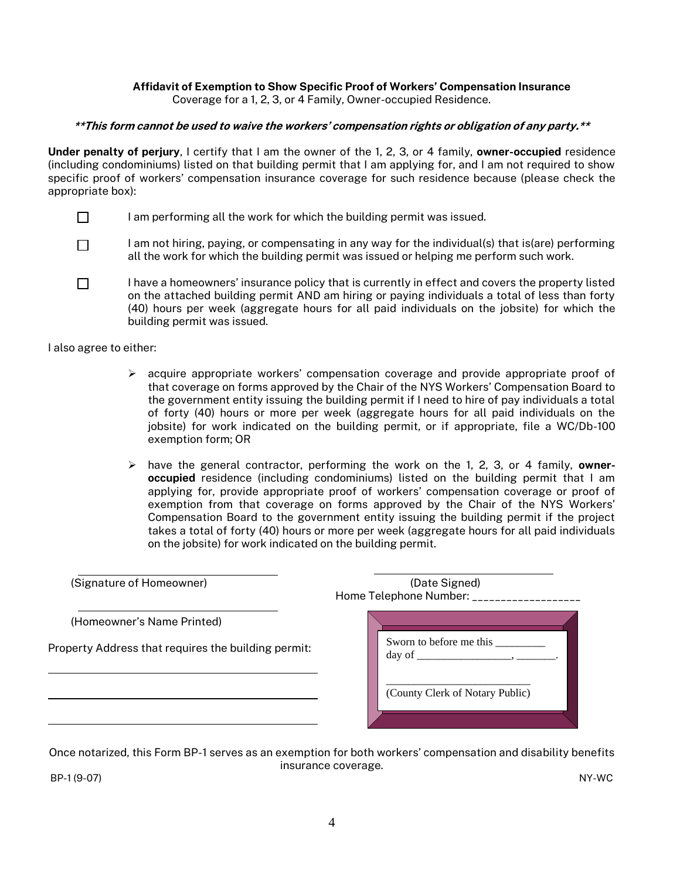#### Affidavit of Exemption to Show Specific Proof of Workers' Compensation Insurance Coverage for a 1, 2, 3, or 4 Family, Owner-occupied Residence.

\*\*This form cannot be used to waive the workers' compensation rights or obligation of any party.\*\*

Under penalty of perjury, I certify that I am the owner of the 1, 2, 3, or 4 family, owner-occupied residence (including condominiums) listed on that building permit that I am applying for, and I am not required to show specific proof of workers' compensation insurance coverage for such residence because (please check the appropriate box):

- $\Box$ I am performing all the work for which the building permit was issued.
- I am not hiring, paying, or compensating in any way for the individual(s) that is(are) performing  $\Box$ all the work for which the building permit was issued or helping me perform such work.
- I have a homeowners' insurance policy that is currently in effect and covers the property listed  $\Box$ on the attached building permit AND am hiring or paying individuals a total of less than forty (40) hours per week (aggregate hours for all paid individuals on the jobsite) for which the building permit was issued.

I also agree to either:

- $\triangleright$  acquire appropriate workers' compensation coverage and provide appropriate proof of that coverage on forms approved by the Chair of the NYS Workers' Compensation Board to the government entity issuing the building permit if I need to hire of pay individuals a total of forty (40) hours or more per week (aggregate hours for all paid individuals on the jobsite) for work indicated on the building permit, or if appropriate, file a WC/Db-100 exemption form; OR
- $\triangleright$  have the general contractor, performing the work on the 1, 2, 3, or 4 family, owneroccupied residence (including condominiums) listed on the building permit that I am applying for, provide appropriate proof of workers' compensation coverage or proof of exemption from that coverage on forms approved by the Chair of the NYS Workers' Compensation Board to the government entity issuing the building permit if the project takes a total of forty (40) hours or more per week (aggregate hours for all paid individuals on the jobsite) for work indicated on the building permit.

| (Signature of Homeowner)                                                          | (Date Signed)<br>Home Telephone Number: _____________ |
|-----------------------------------------------------------------------------------|-------------------------------------------------------|
| (Homeowner's Name Printed)<br>Property Address that requires the building permit: | Sworn to before me this                               |
|                                                                                   | (County Clerk of Notary Public)                       |

Once notarized, this Form BP-1 serves as an exemption for both workers' compensation and disability benefits insurance coverage.

BP-1 (9-07) NY-WC

4